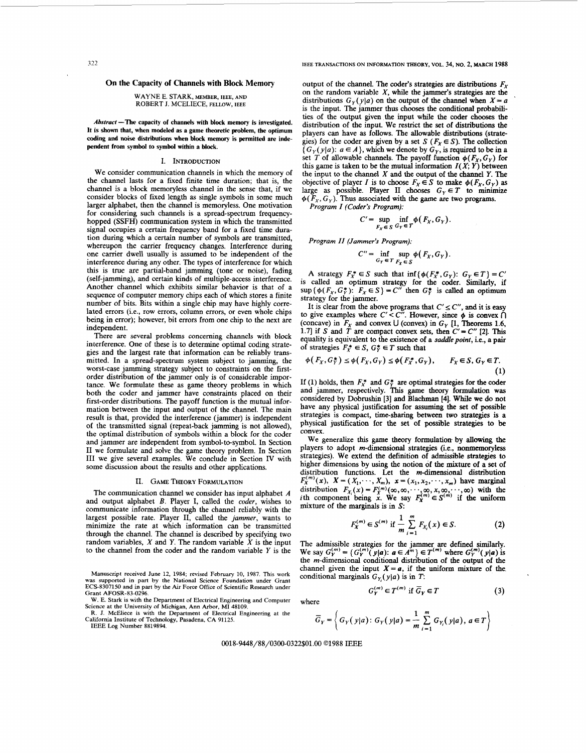# 322 **IEEE TRANSACTIONS ON INFORMATION THEORY,** VOL. **34, NO.** 2, **MARCH 1988**

# **On the Capacity of Channels with Block Memory**

## WAYNE E. STARK, **MEMBER, IEEE, AND**  ROBERT J. MCELIECE, **FELLOW, IEEE**

Abstract – The capacity of channels with block memory is investigated. **It is shown that, when modeled as a game theoretic problem, the optimum coding and noise distributions when block memory is permitted are independent from symbol to symbol within a block.** 

## I. INTRODUCTION

We consider communication channels in which the memory of the channel lasts for a fixed finite time duration; that is, the channel is a block memoryless channel in the sense that, if we consider blocks of fixed length **as** single symbols in some much larger alphabet, then the channel is memoryless. One motivation for considering such channels is a spread-spectrum frequencyhopped (SSFH) communication system in which the transmitted signal occupies a certain frequency band for a fixed time duration during which a certain number of symbols are transmitted, whereupon the carrier frequency changes. Interference during one carrier dwell usually is assumed to be independent of the interference during any other. The types of interference for which this is true are partial-band jamming (tone or noise), fading (self-jamming), and certain kinds of multiple-access interference. Another channel which exhibits similar behavior is that of a sequence of computer memory chips each of which stores a finite number of bits. Bits within a single chip may have highly correlated errors (i.e., row errors, column errors, or even whole chips being in error); however, bit errors from one chip to the next are independent.

There are several problems concerning channels with block interference. One of these is to determine optimal coding strategies and the largest rate that information can be reliably transmitted. In a spread-spectrum system subject to jamming, the worst-case jamming strategy subject to constraints on the firstorder distribution of the jammer only is of considerable importance. We formulate these **as** game theory problems in which both the coder and jammer have constraints placed on their first-order distributions. The payoff function is the mutual information between the input and output of the channel. The main result is that, provided the interference (jammer) is independent of the transmitted signal (repeat-back jamming is not allowed), the optimal distribution of symbols within a block for the coder and jammer are independent from symbol-to-symbol. In Section I1 we formulate and solve the game theory problem. In Section I11 we give several examples. We conclude in Section IV with some discussion about the results and other applications.

## 11. GAME **THEORY FORMULATION**

The communication channel we consider has input alphabet A **and** output alphabet B. Player I, called the coder, wishes to communicate information through the channel reliably with the largest possible rate. Player 11, called the jammer, wants to minimize the rate at which information can be transmitted through the channel. The channel is described by specifying two random variables,  $X$  and  $Y$ . The random variable  $\hat{X}$  is the input to the channel from the coder and the random variable  $Y$  is the

**Manuscript received June 12, 1984; revised February 10, 1987. This work was supported in part by the National Science Foundation under Grant ECS-8307150 and in part by the Air Force Office of Scientific Research under Grant AFOSR-83-0296.** 

**IEEE Log Number 8819894.** 

output of the channel. The coder's strategies are distributions  $F_X$  on the random variable X, while the jammer's strategies are the distributions  $G_y(y|a)$  on the output of the channel when  $X = a$ is the input. The jammer thus chooses the conditional probabilities of the output given the input while the coder chooses the distribution of the input. We restrict the set of distributions the players can have **as** follows. The allowable distributions (strategies) for the coder are given by a set *S* ( $F_X \in S$ ). The collection  ${G_Y(y|a): a \in A}$ , which we denote by  $G_Y$ , is required to be in a set T of allowable channels. The payoff function  $\phi(F_X, G_Y)$  for this game is taken to be the mutual information  $I(X; Y)$  between the input to the channel *X* and the output of the channel *Y*. The objective of player *I* is to choose  $F_x \in S$  to make  $\phi(F_x, G_y)$  as large as possible. Player II chooses  $G_y \in T$  to minimize  $\phi(F_X, G_Y)$ . Thus associated with the game are two programs.

Program I (Coder's Program):

$$
C' = \sup_{F_x \in S} \inf_{G_Y \in T} \phi(F_X, G_Y).
$$

Program *II* (Jammer's Program):

$$
C'' = \inf_{G_Y \in T} \sup_{F_X \in S} \phi(F_X, G_Y).
$$

A strategy  $F_x^* \in S$  such that  $\inf \{ \phi(F_x^*, G_y) : G_y \in T \} = C'$ is called an optimum strategy for the coder. Similarly, if  $\sup \{\phi(F_X, G_Y^*)\colon F_X \in S\} = C''$  then  $G_Y^*$  is called an optimum strategy for the jammer.

It is clear from the above programs that  $C' \leq C''$ , and it is easy to give examples where  $C' \leq C''$ . However, since  $\phi$  is convex  $\bigcap$ (concave) in  $F_X$  and convex U (convex) in  $G_Y$  [1, Theorems 1.6, 1.7] if *S* and *T* are compact convex sets, then  $C' = C''$  [2]. This equality is equivalent to the existence of a *saddle point*, i.e., a pair of strategies  $F_{\lambda}^* \in S$ ,  $G_{\lambda}^* \in T$  such that

$$
\phi(F_X, G_Y^*) \le \phi(F_X, G_Y) \le \phi(F_X^*, G_Y), \qquad F_X \in S, G_Y \in T.
$$
\n(1)

(1) **(1)**<br>If (1) holds, then  $F_x^*$  and  $G_y^*$  are optimal strategies for the coder and jammer, respectively. This game theory formulation was considered by Dobrushin **[3]** and Blachman **[4].** While we **do** not have any physical justification for assuming the set of possible strategies is compact, time-sharing between two strategies is a physical justification for the set of possible strategies to be convex.

We generalize this game theory formulation by allowing the players to adopt m-dimensional strategies (i.e., nonmemoryless strategies). We extend the definition of admissible strategies to higher dimensions by using the notion of the mixture of a set of distribution functions. Let the m-dimensional distribution  $F_X^{(m)}(x)$ ,  $X = (X_1, \dots, X_m)$ ,  $x = (x_1, x_2, \dots, x_m)$  have marginal distribution  $F_X(x) = F_X^{(m)}(\infty, \infty, \dots, \infty, x, \infty, \dots, \infty)$  with the *i*th component being *x*. We say  $F_X^{(m)} \in S^{(m)}$  if the uniform mixture of the marginals is in **S:** 

$$
F_X^{(m)} \in S^{(m)} \text{ if } \frac{1}{m} \sum_{i=1}^m F_{X_i}(x) \in S. \tag{2}
$$

The admissible strategies for the jammer are defined similarly.<br>We say  $G_Y^{(m)} = \{G_Y^{(m)}(y|a): a \in A^m\} \in T^{(m)}$  where  $G_Y^{(m)}(y|a)$  is the *m*-dimensional conditional distribution of the output of the channel given the input  $X = a$ , if the uniform mixture of the conditional marginals  $G<sub>K</sub>(y|a)$  is in *T*:

$$
G_Y^{(m)} \in T^{(m)} \text{ if } \overline{G}_Y \in T \tag{3}
$$

where

$$
\overline{G}_Y = \left\{ G_Y(y|a) : G_Y(y|a) = \frac{1}{m} \sum_{i=1}^m G_{Y_i}(y|a), a \in T \right\}
$$

0018-9448/S8/0300-0322\$01.00 **01988** IEEE

**W. E. Stark is with the Department of Electrical Engineering and Computer** 

**Science at the University of Michigan, Ann Arbor, MI 48109. R. J. McEliece is with the Department of Electrical Engineering at the California Institute of Technology, Pasadena, CA 91125.**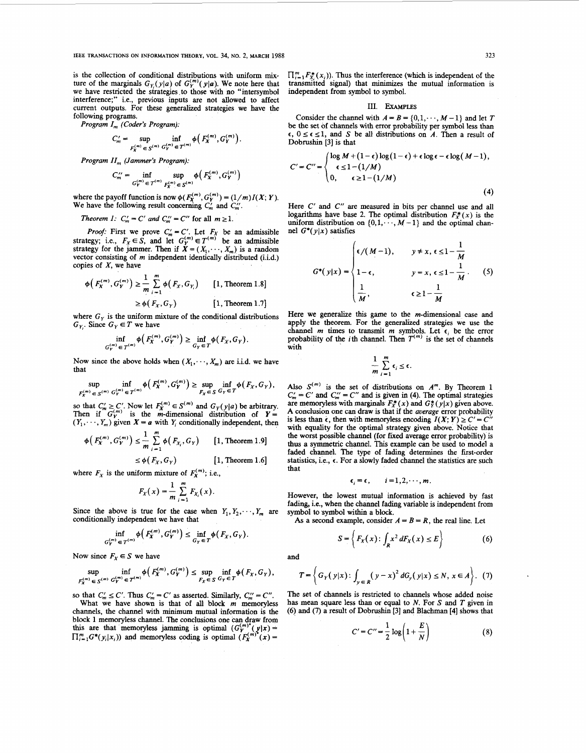**IEEE TRANSACTIONS ON INFORMATION THEORY, VOL. 34, NO.** 2, **MARCH** 1988 323

is the collection of conditional distributions with uniform mixture of the marginals  $G_Y(y|a)$  of  $G_Y^{(m)}(y|a)$ . We note here that we have restricted the sirategies to those with **no** "intersymbol interference;" i.e., previous inputs are not allowed to affect current outputs. For these generalized strategies we have the following programs.

Program *I<sub>m</sub>* (Coder's Program).

$$
C'_m = \sup_{F_X^{(m)} \in S^{(m)}} \inf_{G_Y^{(m)} \in \mathcal{T}^{(m)}} \phi\left(F_X^{(m)}, G_Y^{(m)}\right).
$$

Program *II<sub>m</sub>* (Jammer's Program):

$$
C''_m = \inf_{G^{(m)}_Y \in T^{(m)}} \sup_{F^{(m)}_Y \in S^{(m)}} \phi(F^{(m)}_X, G^{(m)}_Y)
$$

where the payoff function is now  $\phi(F_{\chi}^{(m)}, G_{\chi}^{(m)}) = (1/m)I(X; Y)$ . We have the following result concerning  $C'_m$  and  $C''_m$ .

Theorem *I:*  $C'_m = C'$  and  $C''_m = C''$  for all  $m \ge 1$ .

*Proof:* First we prove  $C'_m = C'$ . Let  $F_X$  be an admissible strategy; i.e.,  $F_X \in S$ , and let  $G_Y^{(m)} \in T^{(m)}$  be an admissible strategy for the jammer. Then if  $X = (X_1, \dots, X_m)$  is a random vector consisting of m independent identically distributed (i.i.d.) copies of  $X$ , we have

$$
\begin{aligned} \phi\left(F_X^{(m)}, G_Y^{(m)}\right) &\geq \frac{1}{m} \sum_{i=1}^m \phi\left(F_X, G_{Y_i}\right) \qquad [1, \text{ Theorem 1.8}]\\ &\geq \phi\left(F_X, G_Y\right) \qquad \qquad [1, \text{ Theorem 1.7}] \end{aligned}
$$

where  $G<sub>y</sub>$  is the uniform mixture of the conditional distributions  $G_Y$ . Since  $G_Y \in T$  we have

$$
\inf_{G_Y^{(m)} \in T^{(m)}} \phi\big(F_X^{(m)}, G_Y^{(m)}\big) \ge \inf_{G_Y \in T} \phi(F_X, G_Y). \tag{prob}
$$

Now since the above holds when  $(X_1, \dots, X_m)$  are i.i.d. we have that

$$
\sup_{F_X^{(m)} \in S^{(m)}} \inf_{G_Y^{(m)} \in T^{(m)}} \phi\left(F_X^{(m)}, G_Y^{(m)}\right) \geq \sup_{F_X \in S} \inf_{G_Y \in T} \phi\left(F_X, G_Y\right),
$$

so that  $C'_m \geq C'$ . Now let  $F_X^{(m)} \in S^{(m)}$  and  $G_Y(y|a)$  be arbitrary. Then if  ${}^m G_Y^{(m)}$  is the *m*-dimensional distribution of  $Y = (Y_1, \dots, Y_m)$  given  $X = a$  with  $Y_i$  conditionally independent, then<br>  $\phi\left(F_X^{(m)}, G_Y^{(m)}\right) \le \frac{1}{m} \sum_{i=1}^m \phi\left(F_{X_i}, G_Y\right)$  [1, Theorem 1.9]

$$
F_X^{(m)}, G_Y^{(m)} \leq \frac{1}{m} \sum_{i=1}^m \phi(F_{X_i}, G_Y) \qquad [1, \text{ Theorem 1.9}]
$$

$$
\leq \phi(F_X, G_Y) \qquad \qquad [1, \text{ Theorem 1.6}]
$$

where  $F_X$  is the uniform mixture of  $F_X^{(m)}$ ; i.e.,

$$
F_X(x) = \frac{1}{m} \sum_{i=1}^m F_{X_i}(x).
$$

Since the above is true for the case when  $Y_1, Y_2, \dots, Y_m$  are conditionally independent we have that

$$
\inf_{G_Y^{(m)} \in T^{(m)}} \phi\big(F_X^{(m)}, G_Y^{(m)}\big) \leq \inf_{G_Y \in T} \phi\big(F_X, G_Y\big).
$$

Now since  $F_X \in S$  we have and

$$
\sup_{F_X^{(m)} \in S^{(m)}} \inf_{G_Y^{(m)}} \phi\big(F_X^{(m)}, G_Y^{(m)}\big) \le \sup_{F_X \in S} \inf_{G_Y \in T} \phi\big(F_X, G_Y\big),
$$

so that  $C'_m \leq C'$ . Thus  $C'_m = C'$  as asserted. Similarly,  $C''_m = C''$ . What we have shown is that of all block  $m$  memoryless channels, the channel with minimum mutual information is the block 1 memoryless channel. The conclusions one can draw from this are that memoryless jamming is optimal  $(G_Y^{(m)*}(y|x) = \prod_{i=1}^m G^*(y_i|x_i))$  and memoryless coding is optimal  $(F_X^{(m)*}(x) =$ 

#### **111. EXAMPLES**

Consider the channel with  $A = B = \{0, 1, \dots, M - 1\}$  and let T be the set of channels with error probability per symbol less than  $\epsilon$ ,  $0 \le \epsilon \le 1$ , and *S* be all distributions on *A*. Then a result of Dobrushin **[3]** is that

$$
C' = C'' = \begin{cases} \log M + (1 - \epsilon) \log (1 - \epsilon) + \epsilon \log \epsilon - \epsilon \log (M - 1), \\ \epsilon \le 1 - (1/M) \\ 0, \qquad \epsilon \ge 1 - (1/M) \end{cases}
$$
(4)

Here C' and C" are measured in bits per channel use and all logarithms have base 2. The optimal distribution  $F_x^*(x)$  is the uniform distribution on  $\{0,1,\dots,M-1\}$  and the optimal channel *G\*(ylx)* satisfies

$$
G^*(y|x) = \begin{cases} \epsilon/(M-1), & y \neq x, \epsilon \leq 1 - \frac{1}{M} \\ 1 - \epsilon, & y = x, \epsilon \leq 1 - \frac{1}{M}. \end{cases}
$$
 (5)  

$$
\frac{1}{M}, \epsilon \geq 1 - \frac{1}{M}
$$

Here we generalize this game to the m-dimensional case and apply the theorem. For the generalized strategies we use the channel *m* times to transmit *m* symbols. Let  $\epsilon_i$  be the error inf  $\phi(F_X^{(m)}, G_Y^{(m)}) \ge \inf_{\mathcal{F} \subset \mathcal{F}} \phi(F_X, G_Y).$  probability of the *i*th channel. Then  $T^{(m)}$  is the set of channels

$$
\frac{1}{m}\sum_{i=1}^m \epsilon_i \leq \epsilon.
$$

Also  $S^{(m)}$  is the set of distributions on  $A^m$ . By Theorem 1  $C'_m = C'$  and  $C''_m = C''$  and is given in (4). The optimal strategies are memoryless with marginals  $F^*_{\mathcal{X}}(x)$  and  $G^*_{\mathcal{Y}}(y|x)$  given above. A conclusion one can draw is that if the auerage error probability is less than  $\epsilon$ , then with memoryless encoding  $I(X;Y) \ge C' = C'$ with equality for the optimal strategy given above. Notice that the worst possible channel (for fixed average error probability) is **thus** a **symmetric** channel. This example can be used to model a faded channel. The type of fading determines the fist-order statistics, i.e.,  $\epsilon$ . For a slowly faded channel the statistics are such that

$$
\epsilon_i = \epsilon, \qquad i = 1, 2, \cdots, m.
$$

However, the lowest mutual information is achieved by fast fading, i.e., when the channel fading variable is independent from symbol to symbol within a block.

As a second example, consider  $A = B = R$ , the real line. Let

$$
S = \left\{ F_X(x) : \int_R x^2 dF_X(x) \le E \right\} \tag{6}
$$

$$
T = \left\{ G_Y(y|x) : \int_{y \in R} (y-x)^2 dG_Y(y|x) \le N, x \in A \right\}. (7)
$$

The set of channels is restricted to channels whose added noise has mean square less than or equal to  $N$ . For  $S$  and  $T$  given in (6) and (7) a result of Dobrushin [3] and Blachman [4] shows that

$$
C' = C'' = \frac{1}{2} \log \left( 1 + \frac{E}{N} \right) \tag{8}
$$